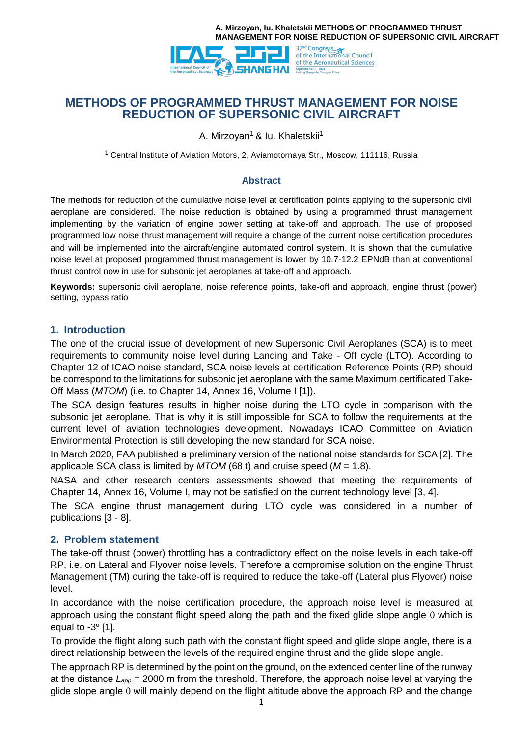



# **METHODS OF PROGRAMMED THRUST MANAGEMENT FOR NOISE REDUCTION OF SUPERSONIC CIVIL AIRCRAFT**

A. Mirzoyan<sup>1</sup> & Iu. Khaletskii<sup>1</sup>

<sup>1</sup> Central Institute of Aviation Motors, 2, Aviamotornaya Str., Moscow, 111116, Russia

#### **Abstract**

The methods for reduction of the cumulative noise level at certification points applying to the supersonic civil aeroplane are considered. The noise reduction is obtained by using a programmed thrust management implementing by the variation of engine power setting at take-off and approach. The use of proposed programmed low noise thrust management will require a change of the current noise certification procedures and will be implemented into the aircraft/engine automated control system. It is shown that the cumulative noise level at proposed programmed thrust management is lower by 10.7-12.2 EPNdB than at conventional thrust control now in use for subsonic jet aeroplanes at take-off and approach.

**Keywords:** supersonic civil aeroplane, noise reference points, take-off and approach, engine thrust (power) setting, bypass ratio

#### **1. Introduction**

The one of the crucial issue of development of new Supersonic Civil Aeroplanes (SCA) is to meet requirements to community noise level during Landing and Take - Off cycle (LTO). According to Chapter 12 of ICAO noise standard, SCA noise levels at certification Reference Points (RP) should be correspond to the limitations for subsonic jet aeroplane with the same Maximum certificated Take-Off Mass (*MTOM*) (i.e. to Chapter 14, Annex 16, Volume I [1]).

The SCA design features results in higher noise during the LTO cycle in comparison with the subsonic jet aeroplane. That is why it is still impossible for SCA to follow the requirements at the current level of aviation technologies development. Nowadays ICAO Committee on Aviation Environmental Protection is still developing the new standard for SCA noise.

In March 2020, FAA published a preliminary version of the national noise standards for SCA [2]. The applicable SCA class is limited by *MTOM* (68 t) and cruise speed (*M* = 1.8).

NASA and other research centers assessments showed that meeting the requirements of Chapter 14, Annex 16, Volume I, may not be satisfied on the current technology level [3, 4].

The SCA engine thrust management during LTO cycle was considered in a number of publications [3 - 8].

#### **2. Problem statement**

The take-off thrust (power) throttling has a contradictory effect on the noise levels in each take-off RP, i.e. on Lateral and Flyover noise levels. Therefore a compromise solution on the engine Thrust Management (TM) during the take-off is required to reduce the take-off (Lateral plus Flyover) noise level.

In accordance with the noise certification procedure, the approach noise level is measured at approach using the constant flight speed along the path and the fixed glide slope angle  $\theta$  which is equal to  $-3^\circ$  [1].

To provide the flight along such path with the constant flight speed and glide slope angle, there is a direct relationship between the levels of the required engine thrust and the glide slope angle.

The approach RP is determined by the point on the ground, on the extended center line of the runway at the distance *Lapp* = 2000 m from the threshold. Therefore, the approach noise level at varying the glide slope angle  $\theta$  will mainly depend on the flight altitude above the approach RP and the change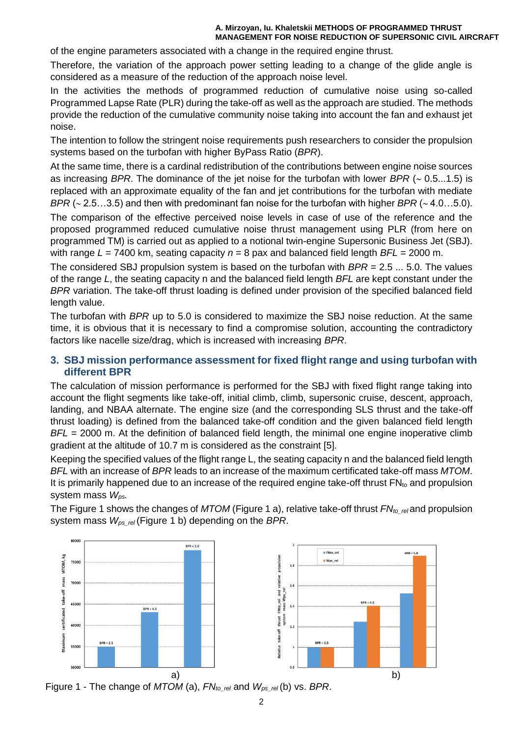of the engine parameters associated with a change in the required engine thrust.

Therefore, the variation of the approach power setting leading to a change of the glide angle is considered as a measure of the reduction of the approach noise level.

In the activities the methods of programmed reduction of cumulative noise using so-called Programmed Lapse Rate (PLR) during the take-off as well as the approach are studied. The methods provide the reduction of the cumulative community noise taking into account the fan and exhaust jet noise.

The intention to follow the stringent noise requirements push researchers to consider the propulsion systems based on the turbofan with higher ByPass Ratio (*BPR*).

At the same time, there is a cardinal redistribution of the contributions between engine noise sources as increasing *BPR*. The dominance of the jet noise for the turbofan with lower *BPR* ( $\sim$  0.5...1.5) is replaced with an approximate equality of the fan and jet contributions for the turbofan with mediate *BPR* ( $\sim$  2.5…3.5) and then with predominant fan noise for the turbofan with higher *BPR* ( $\sim$  4.0…5.0).

The comparison of the effective perceived noise levels in case of use of the reference and the proposed programmed reduced cumulative noise thrust management using PLR (from here on programmed TM) is carried out as applied to a notional twin-engine Supersonic Business Jet (SBJ). with range *L* = 7400 km, seating capacity *n* = 8 pax and balanced field length *BFL* = 2000 m.

The considered SBJ propulsion system is based on the turbofan with *BPR* = 2.5 ... 5.0. The values of the range *L*, the seating capacity n and the balanced field length *BFL* are kept constant under the *BPR* variation. The take-off thrust loading is defined under provision of the specified balanced field length value.

The turbofan with *BPR* up to 5.0 is considered to maximize the SBJ noise reduction. At the same time, it is obvious that it is necessary to find a compromise solution, accounting the contradictory factors like nacelle size/drag, which is increased with increasing *BPR*.

### **3. SBJ mission performance assessment for fixed flight range and using turbofan with different BPR**

The calculation of mission performance is performed for the SBJ with fixed flight range taking into account the flight segments like take-off, initial climb, climb, supersonic cruise, descent, approach, landing, and NBAA alternate. The engine size (and the corresponding SLS thrust and the take-off thrust loading) is defined from the balanced take-off condition and the given balanced field length *BFL* = 2000 m. At the definition of balanced field length, the minimal one engine inoperative climb gradient at the altitude of 10.7 m is considered as the constraint [5].

Keeping the specified values of the flight range L, the seating capacity n and the balanced field length *BFL* with an increase of *BPR* leads to an increase of the maximum certificated take-off mass *MTOM*. It is primarily happened due to an increase of the required engine take-off thrust  $FN_{to}$  and propulsion system mass *Wps.*

The Figure 1 shows the changes of *MTOM* (Figure 1 a), relative take-off thrust *FNto\_rel* and propulsion system mass *Wps\_rel* (Figure 1 b) depending on the *BPR*.



Figure 1 - The change of *MTOM* (a), *FNto\_rel* and *Wps\_rel* (b) vs. *BPR*.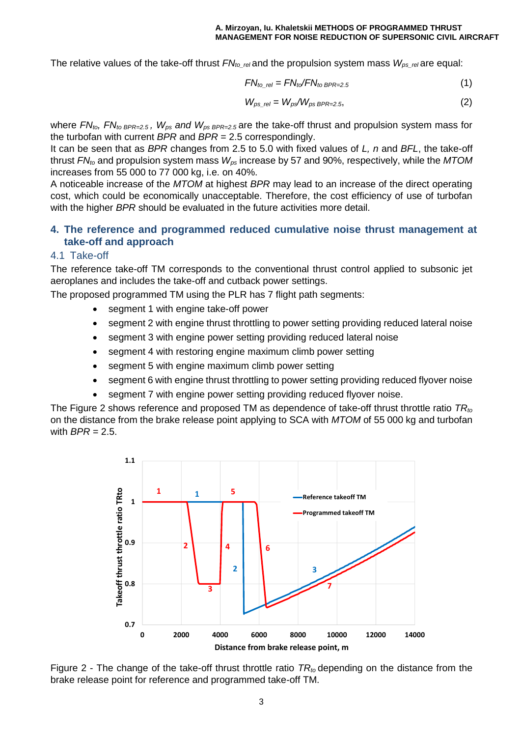The relative values of the take-off thrust  $FN_{to\_rel}$  and the propulsion system mass  $W_{ps\_rel}$  are equal:

$$
FN_{to\_rel} = FN_{to}/FN_{to BPR=2.5}
$$
 (1)

$$
W_{\text{ps\_rel}} = W_{\text{ps}} / W_{\text{ps BPR} = 2.5},\tag{2}
$$

where *FNto, FNto BPR=2.5 , Wps and Wps BPR=2.5* are the take-off thrust and propulsion system mass for the turbofan with current *BPR* and *BPR* = 2.5 correspondingly.

It can be seen that as *BPR* changes from 2.5 to 5.0 with fixed values of *L, n* and *BFL*, the take-off thrust *FNto* and propulsion system mass *Wps* increase by 57 and 90%, respectively, while the *MTOM* increases from 55 000 to 77 000 kg, i.e. on 40%.

A noticeable increase of the *MTOM* at highest *BPR* may lead to an increase of the direct operating cost, which could be economically unacceptable. Therefore, the cost efficiency of use of turbofan with the higher *BPR* should be evaluated in the future activities more detail.

### **4. The reference and programmed reduced cumulative noise thrust management at take-off and approach**

#### 4.1 Take-off

The reference take-off TM corresponds to the conventional thrust control applied to subsonic jet aeroplanes and includes the take-off and cutback power settings.

The proposed programmed TM using the PLR has 7 flight path segments:

- segment 1 with engine take-off power
- segment 2 with engine thrust throttling to power setting providing reduced lateral noise
- segment 3 with engine power setting providing reduced lateral noise
- segment 4 with restoring engine maximum climb power setting
- segment 5 with engine maximum climb power setting
- segment 6 with engine thrust throttling to power setting providing reduced flyover noise
- segment 7 with engine power setting providing reduced flyover noise.

The Figure 2 shows reference and proposed TM as dependence of take-off thrust throttle ratio *TRto* on the distance from the brake release point applying to SCA with *MTOM* of 55 000 kg and turbofan with *BPR* = 2.5.



Figure 2 - The change of the take-off thrust throttle ratio *TRto* depending on the distance from the brake release point for reference and programmed take-off TM.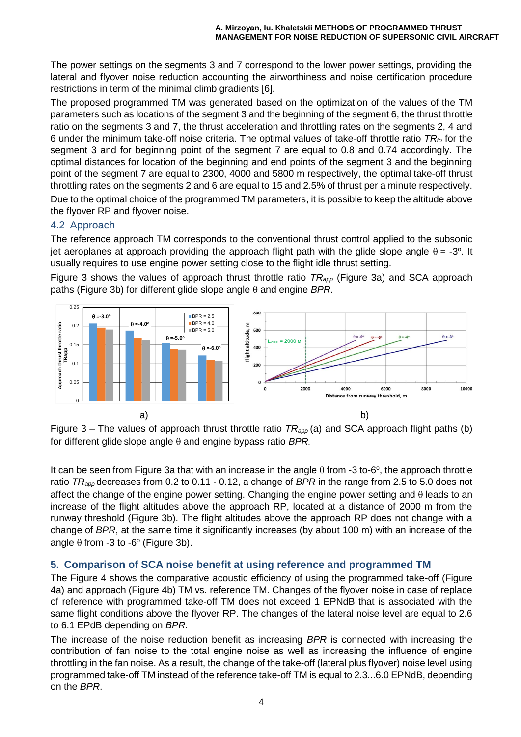The power settings on the segments 3 and 7 correspond to the lower power settings, providing the lateral and flyover noise reduction accounting the airworthiness and noise certification procedure restrictions in term of the minimal climb gradients [6].

The proposed programmed TM was generated based on the optimization of the values of the TM parameters such as locations of the segment 3 and the beginning of the segment 6, the thrust throttle ratio on the segments 3 and 7, the thrust acceleration and throttling rates on the segments 2, 4 and 6 under the minimum take-off noise criteria. The optimal values of take-off throttle ratio *TRto* for the segment 3 and for beginning point of the segment 7 are equal to 0.8 and 0.74 accordingly. The optimal distances for location of the beginning and end points of the segment 3 and the beginning point of the segment 7 are equal to 2300, 4000 and 5800 m respectively, the optimal take-off thrust throttling rates on the segments 2 and 6 are equal to 15 and 2.5% of thrust per a minute respectively. Due to the optimal choice of the programmed TM parameters, it is possible to keep the altitude above the flyover RP and flyover noise.

## 4.2 Approach

The reference approach TM corresponds to the conventional thrust control applied to the subsonic jet aeroplanes at approach providing the approach flight path with the glide slope angle  $\theta$  = -3°. It usually requires to use engine power setting close to the flight idle thrust setting.

Figure 3 shows the values of approach thrust throttle ratio *TRapp* (Figure 3a) and SCA approach paths (Figure 3b) for different glide slope angle  $\theta$  and engine BPR.



Figure 3 – The values of approach thrust throttle ratio *TRapp* (a) and SCA approach flight paths (b) for different glide slope angle  $\theta$  and engine bypass ratio  $BPR$ .

It can be seen from Figure 3a that with an increase in the angle  $\theta$  from -3 to-6°, the approach throttle ratio *TRapp* decreases from 0.2 to 0.11 - 0.12, a change of *BPR* in the range from 2.5 to 5.0 does not affect the change of the engine power setting. Changing the engine power setting and  $\theta$  leads to an increase of the flight altitudes above the approach RP, located at a distance of 2000 m from the runway threshold (Figure 3b). The flight altitudes above the approach RP does not change with a change of *BPR*, at the same time it significantly increases (by about 100 m) with an increase of the angle  $\theta$  from -3 to -6 $\degree$  (Figure 3b).

### **5. Comparison of SCA noise benefit at using reference and programmed TM**

The Figure 4 shows the comparative acoustic efficiency of using the programmed take-off (Figure 4a) and approach (Figure 4b) TM vs. reference TM. Changes of the flyover noise in case of replace of reference with programmed take-off TM does not exceed 1 EPNdB that is associated with the same flight conditions above the flyover RP. The changes of the lateral noise level are equal to 2.6 to 6.1 EPdB depending on *BPR*.

The increase of the noise reduction benefit as increasing *BPR* is connected with increasing the contribution of fan noise to the total engine noise as well as increasing the influence of engine throttling in the fan noise. As a result, the change of the take-off (lateral plus flyover) noise level using programmed take-off TM instead of the reference take-off TM is equal to 2.3...6.0 EPNdB, depending on the *BPR*.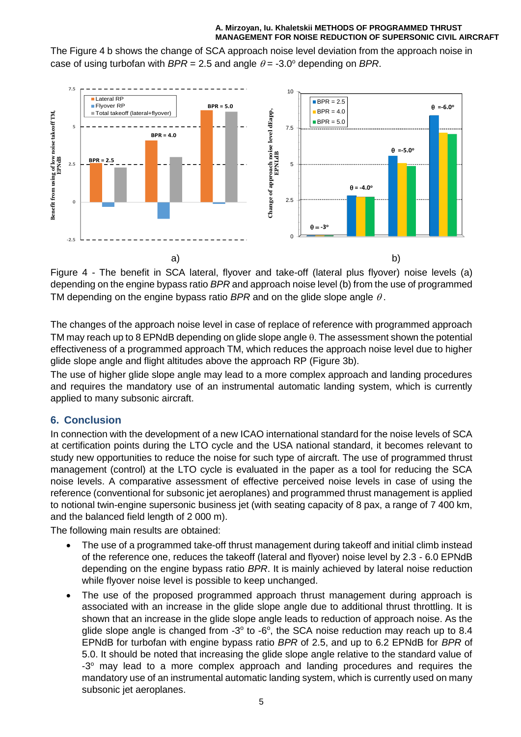#### **A. Mirzoyan, Iu. Khaletskii METHODS OF PROGRAMMED THRUST MANAGEMENT FOR NOISE REDUCTION OF SUPERSONIC CIVIL AIRCRAFT**

The Figure 4 b shows the change of SCA approach noise level deviation from the approach noise in case of using turbofan with  $BPR = 2.5$  and angle  $\theta = -3.0^{\circ}$  depending on *BPR*.



Figure 4 - The benefit in SCA lateral, flyover and take-off (lateral plus flyover) noise levels (a) depending on the engine bypass ratio *BPR* and approach noise level (b) from the use of programmed TM depending on the engine bypass ratio *BPR* and on the glide slope angle  $\theta$ .

The changes of the approach noise level in case of replace of reference with programmed approach TM may reach up to 8 EPNdB depending on glide slope angle  $\theta$ . The assessment shown the potential effectiveness of a programmed approach TM, which reduces the approach noise level due to higher glide slope angle and flight altitudes above the approach RP (Figure 3b).

The use of higher glide slope angle may lead to a more complex approach and landing procedures and requires the mandatory use of an instrumental automatic landing system, which is currently applied to many subsonic aircraft.

### **6. Conclusion**

In connection with the development of a new ICAO international standard for the noise levels of SCA at certification points during the LTO cycle and the USA national standard, it becomes relevant to study new opportunities to reduce the noise for such type of aircraft. The use of programmed thrust management (control) at the LTO cycle is evaluated in the paper as a tool for reducing the SCA noise levels. A comparative assessment of effective perceived noise levels in case of using the reference (conventional for subsonic jet aeroplanes) and programmed thrust management is applied to notional twin-engine supersonic business jet (with seating capacity of 8 pax, a range of 7 400 km, and the balanced field length of 2 000 m).

The following main results are obtained:

- The use of a programmed take-off thrust management during takeoff and initial climb instead of the reference one, reduces the takeoff (lateral and flyover) noise level by 2.3 - 6.0 EPNdB depending on the engine bypass ratio *BPR*. It is mainly achieved by lateral noise reduction while flyover noise level is possible to keep unchanged.
- The use of the proposed programmed approach thrust management during approach is associated with an increase in the glide slope angle due to additional thrust throttling. It is shown that an increase in the glide slope angle leads to reduction of approach noise. As the glide slope angle is changed from  $-3^\circ$  to  $-6^\circ$ , the SCA noise reduction may reach up to 8.4 EPNdB for turbofan with engine bypass ratio *BPR* of 2.5, and up to 6.2 EPNdB for *BPR* of 5.0. It should be noted that increasing the glide slope angle relative to the standard value of -3° may lead to a more complex approach and landing procedures and requires the mandatory use of an instrumental automatic landing system, which is currently used on many subsonic jet aeroplanes.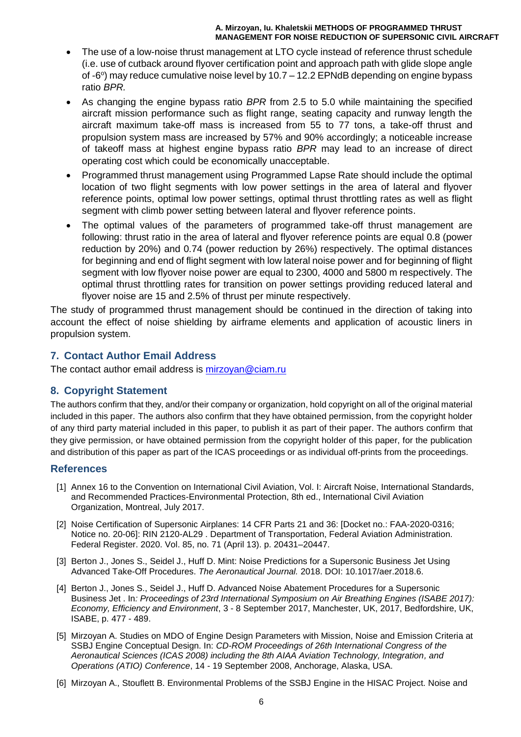#### **A. Mirzoyan, Iu. Khaletskii METHODS OF PROGRAMMED THRUST MANAGEMENT FOR NOISE REDUCTION OF SUPERSONIC CIVIL AIRCRAFT**

- The use of a low-noise thrust management at LTO cycle instead of reference thrust schedule (i.e. use of cutback around flyover certification point and approach path with glide slope angle of -6°) may reduce cumulative noise level by 10.7 – 12.2 EPNdB depending on engine bypass ratio *BPR.*
- As changing the engine bypass ratio *BPR* from 2.5 to 5.0 while maintaining the specified aircraft mission performance such as flight range, seating capacity and runway length the aircraft maximum take-off mass is increased from 55 to 77 tons, a take-off thrust and propulsion system mass are increased by 57% and 90% accordingly; a noticeable increase of takeoff mass at highest engine bypass ratio *BPR* may lead to an increase of direct operating cost which could be economically unacceptable.
- Programmed thrust management using Programmed Lapse Rate should include the optimal location of two flight segments with low power settings in the area of lateral and flyover reference points, optimal low power settings, optimal thrust throttling rates as well as flight segment with climb power setting between lateral and flyover reference points.
- The optimal values of the parameters of programmed take-off thrust management are following: thrust ratio in the area of lateral and flyover reference points are equal 0.8 (power reduction by 20%) and 0.74 (power reduction by 26%) respectively. The optimal distances for beginning and end of flight segment with low lateral noise power and for beginning of flight segment with low flyover noise power are equal to 2300, 4000 and 5800 m respectively. The optimal thrust throttling rates for transition on power settings providing reduced lateral and flyover noise are 15 and 2.5% of thrust per minute respectively.

The study of programmed thrust management should be continued in the direction of taking into account the effect of noise shielding by airframe elements and application of acoustic liners in propulsion system.

## **7. Contact Author Email Address**

The contact author email address is [mirzoyan@ciam.ru](mailto:mirzoyan@ciam.ru)

### **8. Copyright Statement**

The authors confirm that they, and/or their company or organization, hold copyright on all of the original material included in this paper. The authors also confirm that they have obtained permission, from the copyright holder of any third party material included in this paper, to publish it as part of their paper. The authors confirm that they give permission, or have obtained permission from the copyright holder of this paper, for the publication and distribution of this paper as part of the ICAS proceedings or as individual off-prints from the proceedings.

### **References**

- [1] Annex 16 to the Convention on International Civil Aviation, Vol. I: Aircraft Noise, International Standards, and Recommended Practices-Environmental Protection, 8th ed., International Civil Aviation Organization, Montreal, July 2017.
- [2] Noise Certification of Supersonic Airplanes: 14 CFR Parts 21 and 36: [Docket no.: FAA-2020-0316; Notice no. 20-06]: RIN 2120-AL29 . Department of Transportation, Federal Aviation Administration. Federal Register. 2020. Vol. 85, no. 71 (April 13). p. 20431–20447.
- [3] Berton J., Jones S., Seidel J., Huff D. Mint: Noise Predictions for a Supersonic Business Jet Using Advanced Take-Off Procedures. *The Aeronautical Journal.* 2018. DOI: 10.1017/aer.2018.6.
- [4] Berton J., Jones S., Seidel J., Huff D. Advanced Noise Abatement Procedures for a Supersonic Business Jet . In*: Proceedings of 23rd International Symposium on Air Breathing Engines (ISABE 2017): Economy, Efficiency and Environment*, 3 - 8 September 2017, Manchester, UK, 2017, Bedfordshire, UK, ISABE, p. 477 - 489.
- [5] Mirzoyan A. Studies on MDO of Engine Design Parameters with Mission, Noise and Emission Criteria at SSBJ Engine Conceptual Design. In: *CD-ROM Proceedings of 26th International Congress of the Aeronautical Sciences (ICAS 2008) including the 8th AIAA Aviation Technology, Integration, and Operations (ATIO) Conference*, 14 - 19 September 2008, Anchorage, Alaska, USA.
- [6] Mirzoyan A., Stouflett B. Environmental Problems of the SSBJ Engine in the HISAC Project. Noise and